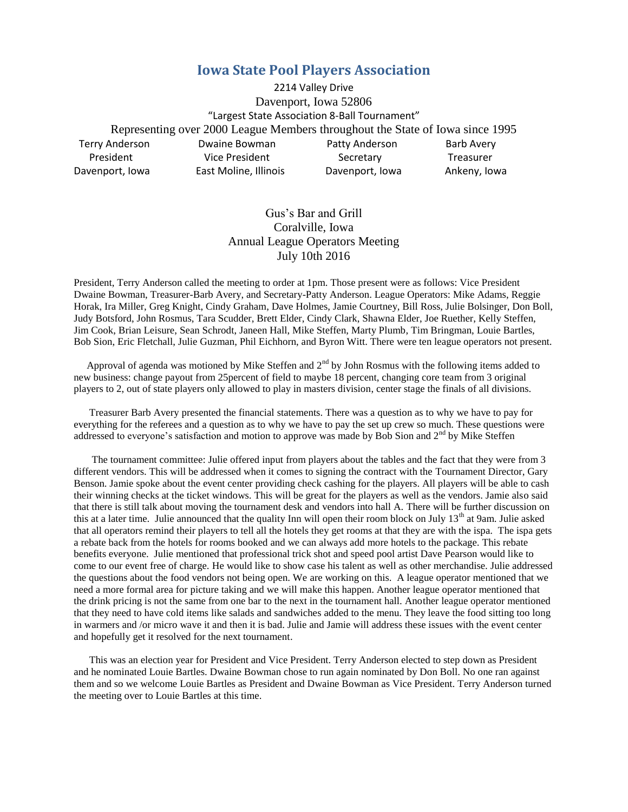## **Iowa State Pool Players Association**

2214 Valley Drive Davenport, Iowa 52806 "Largest State Association 8-Ball Tournament" Representing over 2000 League Members throughout the State of Iowa since 1995 Terry Anderson Dwaine Bowman Patty Anderson Barb Avery President **Vice President** Secretary **Treasurer** Davenport, Iowa East Moline, Illinois Davenport, Iowa Ankeny, Iowa

## Gus's Bar and Grill Coralville, Iowa Annual League Operators Meeting July 10th 2016

President, Terry Anderson called the meeting to order at 1pm. Those present were as follows: Vice President Dwaine Bowman, Treasurer-Barb Avery, and Secretary-Patty Anderson. League Operators: Mike Adams, Reggie Horak, Ira Miller, Greg Knight, Cindy Graham, Dave Holmes, Jamie Courtney, Bill Ross, Julie Bolsinger, Don Boll, Judy Botsford, John Rosmus, Tara Scudder, Brett Elder, Cindy Clark, Shawna Elder, Joe Ruether, Kelly Steffen, Jim Cook, Brian Leisure, Sean Schrodt, Janeen Hall, Mike Steffen, Marty Plumb, Tim Bringman, Louie Bartles, Bob Sion, Eric Fletchall, Julie Guzman, Phil Eichhorn, and Byron Witt. There were ten league operators not present.

Approval of agenda was motioned by Mike Steffen and  $2<sup>nd</sup>$  by John Rosmus with the following items added to new business: change payout from 25percent of field to maybe 18 percent, changing core team from 3 original players to 2, out of state players only allowed to play in masters division, center stage the finals of all divisions.

 Treasurer Barb Avery presented the financial statements. There was a question as to why we have to pay for everything for the referees and a question as to why we have to pay the set up crew so much. These questions were addressed to everyone's satisfaction and motion to approve was made by Bob Sion and  $2<sup>nd</sup>$  by Mike Steffen

 The tournament committee: Julie offered input from players about the tables and the fact that they were from 3 different vendors. This will be addressed when it comes to signing the contract with the Tournament Director, Gary Benson. Jamie spoke about the event center providing check cashing for the players. All players will be able to cash their winning checks at the ticket windows. This will be great for the players as well as the vendors. Jamie also said that there is still talk about moving the tournament desk and vendors into hall A. There will be further discussion on this at a later time. Julie announced that the quality Inn will open their room block on July 13<sup>th</sup> at 9am. Julie asked that all operators remind their players to tell all the hotels they get rooms at that they are with the ispa. The ispa gets a rebate back from the hotels for rooms booked and we can always add more hotels to the package. This rebate benefits everyone. Julie mentioned that professional trick shot and speed pool artist Dave Pearson would like to come to our event free of charge. He would like to show case his talent as well as other merchandise. Julie addressed the questions about the food vendors not being open. We are working on this. A league operator mentioned that we need a more formal area for picture taking and we will make this happen. Another league operator mentioned that the drink pricing is not the same from one bar to the next in the tournament hall. Another league operator mentioned that they need to have cold items like salads and sandwiches added to the menu. They leave the food sitting too long in warmers and /or micro wave it and then it is bad. Julie and Jamie will address these issues with the event center and hopefully get it resolved for the next tournament.

 This was an election year for President and Vice President. Terry Anderson elected to step down as President and he nominated Louie Bartles. Dwaine Bowman chose to run again nominated by Don Boll. No one ran against them and so we welcome Louie Bartles as President and Dwaine Bowman as Vice President. Terry Anderson turned the meeting over to Louie Bartles at this time.